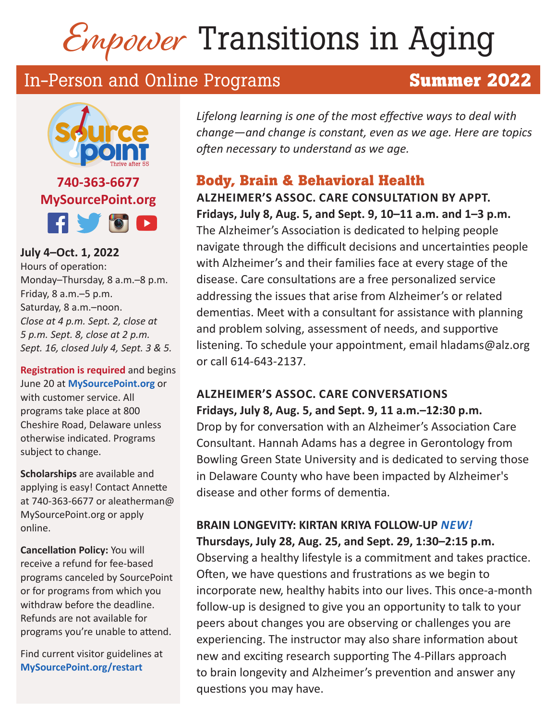# Empower Transitions in Aging

# In-Person and Online Programs **Summer 2022**



**MySourcePoint.org FIVOD** 

**July 4–Oct. 1, 2022**  Hours of operation: Monday–Thursday, 8 a.m.–8 p.m. Friday, 8 a.m.–5 p.m. Saturday, 8 a.m.–noon. *Close at 4 p.m. Sept. 2, close at 5 p.m. Sept. 8, close at 2 p.m. Sept. 16, closed July 4, Sept. 3 & 5.*

**Registration is required** and begins June 20 at **MySourcePoint.org** or with customer service. All programs take place at 800 Cheshire Road, Delaware unless otherwise indicated. Programs subject to change.

**Scholarships** are available and applying is easy! Contact Annette at 740-363-6677 or aleatherman@ MySourcePoint.org or apply online.

**Cancellation Policy:** You will receive a refund for fee-based programs canceled by SourcePoint or for programs from which you withdraw before the deadline. Refunds are not available for programs you're unable to attend.

Find current visitor guidelines at **MySourcePoint.org/restart**

*Lifelong learning is one of the most effective ways to deal with change—and change is constant, even as we age. Here are topics often necessary to understand as we age.*

## **Body, Brain & Behavioral Health**

**ALZHEIMER'S ASSOC. CARE CONSULTATION BY APPT. Fridays, July 8, Aug. 5, and Sept. 9, 10–11 a.m. and 1–3 p.m.**  The Alzheimer's Association is dedicated to helping people navigate through the difficult decisions and uncertainties people with Alzheimer's and their families face at every stage of the disease. Care consultations are a free personalized service addressing the issues that arise from Alzheimer's or related dementias. Meet with a consultant for assistance with planning and problem solving, assessment of needs, and supportive listening. To schedule your appointment, email hladams@alz.org or call 614-643-2137.

#### **ALZHEIMER'S ASSOC. CARE CONVERSATIONS Fridays, July 8, Aug. 5, and Sept. 9, 11 a.m.–12:30 p.m.**

Drop by for conversation with an Alzheimer's Association Care Consultant. Hannah Adams has a degree in Gerontology from Bowling Green State University and is dedicated to serving those in Delaware County who have been impacted by Alzheimer's disease and other forms of dementia.

#### **BRAIN LONGEVITY: KIRTAN KRIYA FOLLOW-UP** *NEW!*  **Thursdays, July 28, Aug. 25, and Sept. 29, 1:30–2:15 p.m.**

Observing a healthy lifestyle is a commitment and takes practice. Often, we have questions and frustrations as we begin to incorporate new, healthy habits into our lives. This once-a-month follow-up is designed to give you an opportunity to talk to your peers about changes you are observing or challenges you are experiencing. The instructor may also share information about new and exciting research supporting The 4-Pillars approach to brain longevity and Alzheimer's prevention and answer any questions you may have.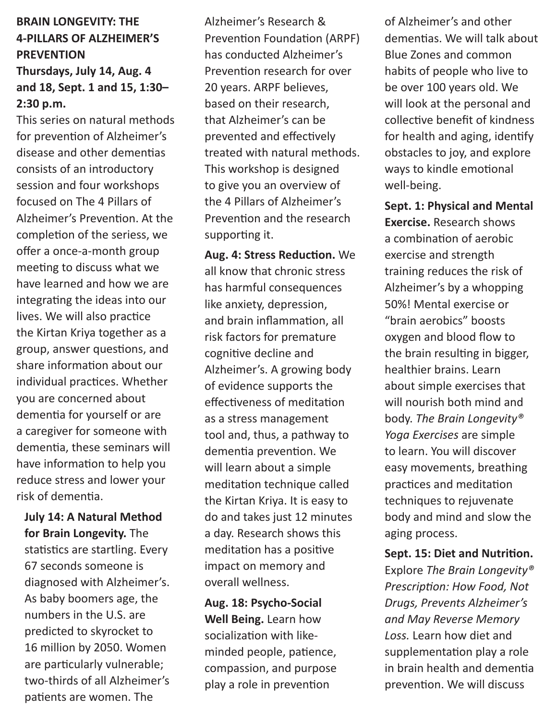#### **BRAIN LONGEVITY: THE 4-PILLARS OF ALZHEIMER'S PREVENTION Thursdays, July 14, Aug. 4**

# **and 18, Sept. 1 and 15, 1:30– 2:30 p.m.**

This series on natural methods for prevention of Alzheimer's disease and other dementias consists of an introductory session and four workshops focused on The 4 Pillars of Alzheimer's Prevention. At the completion of the seriess, we offer a once-a-month group meeting to discuss what we have learned and how we are integrating the ideas into our lives. We will also practice the Kirtan Kriya together as a group, answer questions, and share information about our individual practices. Whether you are concerned about dementia for yourself or are a caregiver for someone with dementia, these seminars will have information to help you reduce stress and lower your risk of dementia.

**July 14: A Natural Method for Brain Longevity.** The statistics are startling. Every 67 seconds someone is diagnosed with Alzheimer's. As baby boomers age, the numbers in the U.S. are predicted to skyrocket to 16 million by 2050. Women are particularly vulnerable; two-thirds of all Alzheimer's patients are women. The

Alzheimer's Research & Prevention Foundation (ARPF) has conducted Alzheimer's Prevention research for over 20 years. ARPF believes, based on their research, that Alzheimer's can be prevented and effectively treated with natural methods. This workshop is designed to give you an overview of the 4 Pillars of Alzheimer's Prevention and the research supporting it.

**Aug. 4: Stress Reduction.** We all know that chronic stress has harmful consequences like anxiety, depression, and brain inflammation, all risk factors for premature cognitive decline and Alzheimer's. A growing body of evidence supports the effectiveness of meditation as a stress management tool and, thus, a pathway to dementia prevention. We will learn about a simple meditation technique called the Kirtan Kriya. It is easy to do and takes just 12 minutes a day. Research shows this meditation has a positive impact on memory and overall wellness.

**Aug. 18: Psycho-Social Well Being.** Learn how socialization with likeminded people, patience, compassion, and purpose play a role in prevention

of Alzheimer's and other dementias. We will talk about Blue Zones and common habits of people who live to be over 100 years old. We will look at the personal and collective benefit of kindness for health and aging, identify obstacles to joy, and explore ways to kindle emotional well-being.

**Sept. 1: Physical and Mental Exercise.** Research shows a combination of aerobic exercise and strength training reduces the risk of Alzheimer's by a whopping 50%! Mental exercise or "brain aerobics" boosts oxygen and blood flow to the brain resulting in bigger, healthier brains. Learn about simple exercises that will nourish both mind and body. *The Brain Longevity® Yoga Exercises* are simple to learn. You will discover easy movements, breathing practices and meditation techniques to rejuvenate body and mind and slow the aging process.

#### **Sept. 15: Diet and Nutrition.**

Explore *The Brain Longevity® Prescription: How Food, Not Drugs, Prevents Alzheimer's and May Reverse Memory Loss.* Learn how diet and supplementation play a role in brain health and dementia prevention. We will discuss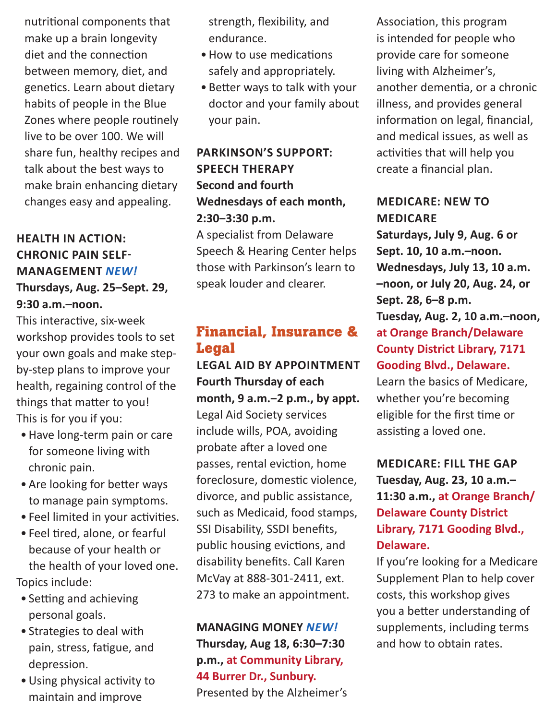nutritional components that make up a brain longevity diet and the connection between memory, diet, and genetics. Learn about dietary habits of people in the Blue Zones where people routinely live to be over 100. We will share fun, healthy recipes and talk about the best ways to make brain enhancing dietary changes easy and appealing.

#### **HEALTH IN ACTION: CHRONIC PAIN SELF-MANAGEMENT** *NEW!* **Thursdays, Aug. 25–Sept. 29, 9:30 a.m.–noon.**

This interactive, six-week workshop provides tools to set your own goals and make stepby-step plans to improve your health, regaining control of the things that matter to you! This is for you if you:

- •Have long-term pain or care for someone living with chronic pain.
- Are looking for better ways to manage pain symptoms.
- Feel limited in your activities.
- Feel tired, alone, or fearful because of your health or the health of your loved one. Topics include:
- Setting and achieving personal goals.
- Strategies to deal with pain, stress, fatigue, and depression.
- •Using physical activity to maintain and improve

strength, flexibility, and endurance.

- •How to use medications safely and appropriately.
- Better ways to talk with your doctor and your family about your pain.

#### **PARKINSON'S SUPPORT: SPEECH THERAPY Second and fourth Wednesdays of each month, 2:30‒3:30 p.m.**

A specialist from Delaware Speech & Hearing Center helps those with Parkinson's learn to speak louder and clearer.

#### **Financial, Insurance & Legal**

**LEGAL AID BY APPOINTMENT Fourth Thursday of each month, 9 a.m.‒2 p.m., by appt.**  Legal Aid Society services include wills, POA, avoiding probate after a loved one passes, rental eviction, home foreclosure, domestic violence, divorce, and public assistance, such as Medicaid, food stamps, SSI Disability, SSDI benefits, public housing evictions, and disability benefits. Call Karen McVay at 888-301-2411, ext. 273 to make an appointment.

**MANAGING MONEY** *NEW!* **Thursday, Aug 18, 6:30–7:30 p.m., at Community Library, 44 Burrer Dr., Sunbury.** Presented by the Alzheimer's

Association, this program is intended for people who provide care for someone living with Alzheimer's, another dementia, or a chronic illness, and provides general information on legal, financial, and medical issues, as well as activities that will help you create a financial plan.

#### **MEDICARE: NEW TO MEDICARE**

**Saturdays, July 9, Aug. 6 or Sept. 10, 10 a.m.–noon. Wednesdays, July 13, 10 a.m. –noon, or July 20, Aug. 24, or Sept. 28, 6–8 p.m. Tuesday, Aug. 2, 10 a.m.–noon, at Orange Branch/Delaware County District Library, 7171 Gooding Blvd., Delaware.** Learn the basics of Medicare, whether you're becoming eligible for the first time or assisting a loved one.

**MEDICARE: FILL THE GAP Tuesday, Aug. 23, 10 a.m.– 11:30 a.m., at Orange Branch/ Delaware County District Library, 7171 Gooding Blvd., Delaware.**

If you're looking for a Medicare Supplement Plan to help cover costs, this workshop gives you a better understanding of supplements, including terms and how to obtain rates.